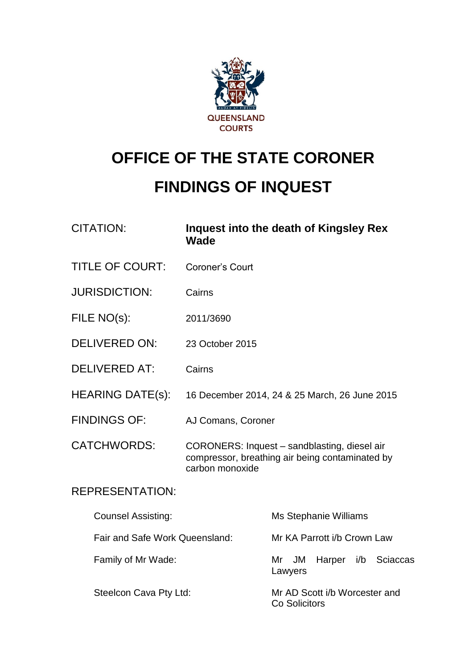

# **OFFICE OF THE STATE CORONER**

## **FINDINGS OF INQUEST**

| <b>CITATION:</b>               | Wade               | <b>Inquest into the death of Kingsley Rex</b>                                                   |
|--------------------------------|--------------------|-------------------------------------------------------------------------------------------------|
| <b>TITLE OF COURT:</b>         | Coroner's Court    |                                                                                                 |
| <b>JURISDICTION:</b>           | Cairns             |                                                                                                 |
| FILE NO(s):                    | 2011/3690          |                                                                                                 |
| <b>DELIVERED ON:</b>           | 23 October 2015    |                                                                                                 |
| <b>DELIVERED AT:</b>           | Cairns             |                                                                                                 |
| <b>HEARING DATE(s):</b>        |                    | 16 December 2014, 24 & 25 March, 26 June 2015                                                   |
| <b>FINDINGS OF:</b>            | AJ Comans, Coroner |                                                                                                 |
| <b>CATCHWORDS:</b>             | carbon monoxide    | CORONERS: Inquest - sandblasting, diesel air<br>compressor, breathing air being contaminated by |
| <b>REPRESENTATION:</b>         |                    |                                                                                                 |
| <b>Counsel Assisting:</b>      |                    | Ms Stephanie Williams                                                                           |
| Fair and Safe Work Queensland: |                    | Mr KA Parrott i/b Crown Law                                                                     |
| Family of Mr Wade:             |                    | <b>JM</b><br>i/b<br>Mr<br>Harper<br><b>Sciaccas</b><br>Lawyers                                  |
| Steelcon Cava Pty Ltd:         |                    | Mr AD Scott i/b Worcester and<br>Co Solicitors                                                  |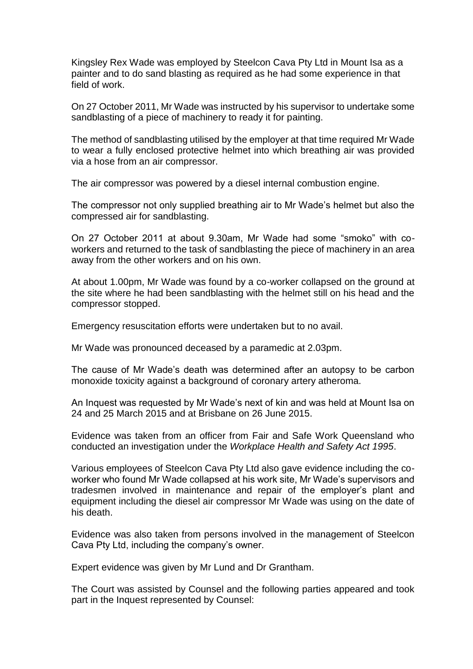Kingsley Rex Wade was employed by Steelcon Cava Pty Ltd in Mount Isa as a painter and to do sand blasting as required as he had some experience in that field of work.

On 27 October 2011, Mr Wade was instructed by his supervisor to undertake some sandblasting of a piece of machinery to ready it for painting.

The method of sandblasting utilised by the employer at that time required Mr Wade to wear a fully enclosed protective helmet into which breathing air was provided via a hose from an air compressor.

The air compressor was powered by a diesel internal combustion engine.

The compressor not only supplied breathing air to Mr Wade's helmet but also the compressed air for sandblasting.

On 27 October 2011 at about 9.30am, Mr Wade had some "smoko" with coworkers and returned to the task of sandblasting the piece of machinery in an area away from the other workers and on his own.

At about 1.00pm, Mr Wade was found by a co-worker collapsed on the ground at the site where he had been sandblasting with the helmet still on his head and the compressor stopped.

Emergency resuscitation efforts were undertaken but to no avail.

Mr Wade was pronounced deceased by a paramedic at 2.03pm.

The cause of Mr Wade's death was determined after an autopsy to be carbon monoxide toxicity against a background of coronary artery atheroma.

An Inquest was requested by Mr Wade's next of kin and was held at Mount Isa on 24 and 25 March 2015 and at Brisbane on 26 June 2015.

Evidence was taken from an officer from Fair and Safe Work Queensland who conducted an investigation under the *Workplace Health and Safety Act 1995*.

Various employees of Steelcon Cava Pty Ltd also gave evidence including the coworker who found Mr Wade collapsed at his work site, Mr Wade's supervisors and tradesmen involved in maintenance and repair of the employer's plant and equipment including the diesel air compressor Mr Wade was using on the date of his death.

Evidence was also taken from persons involved in the management of Steelcon Cava Pty Ltd, including the company's owner.

Expert evidence was given by Mr Lund and Dr Grantham.

The Court was assisted by Counsel and the following parties appeared and took part in the Inquest represented by Counsel: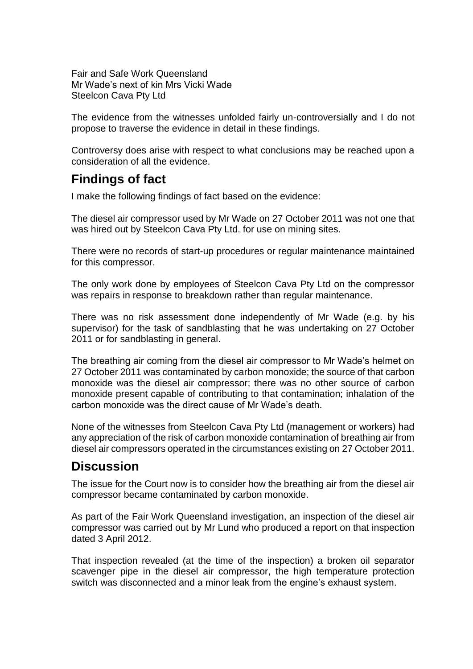Fair and Safe Work Queensland Mr Wade's next of kin Mrs Vicki Wade Steelcon Cava Pty Ltd

The evidence from the witnesses unfolded fairly un-controversially and I do not propose to traverse the evidence in detail in these findings.

Controversy does arise with respect to what conclusions may be reached upon a consideration of all the evidence.

#### **Findings of fact**

I make the following findings of fact based on the evidence:

The diesel air compressor used by Mr Wade on 27 October 2011 was not one that was hired out by Steelcon Cava Pty Ltd. for use on mining sites.

There were no records of start-up procedures or regular maintenance maintained for this compressor.

The only work done by employees of Steelcon Cava Pty Ltd on the compressor was repairs in response to breakdown rather than regular maintenance.

There was no risk assessment done independently of Mr Wade (e.g. by his supervisor) for the task of sandblasting that he was undertaking on 27 October 2011 or for sandblasting in general.

The breathing air coming from the diesel air compressor to Mr Wade's helmet on 27 October 2011 was contaminated by carbon monoxide; the source of that carbon monoxide was the diesel air compressor; there was no other source of carbon monoxide present capable of contributing to that contamination; inhalation of the carbon monoxide was the direct cause of Mr Wade's death.

None of the witnesses from Steelcon Cava Pty Ltd (management or workers) had any appreciation of the risk of carbon monoxide contamination of breathing air from diesel air compressors operated in the circumstances existing on 27 October 2011.

### **Discussion**

The issue for the Court now is to consider how the breathing air from the diesel air compressor became contaminated by carbon monoxide.

As part of the Fair Work Queensland investigation, an inspection of the diesel air compressor was carried out by Mr Lund who produced a report on that inspection dated 3 April 2012.

That inspection revealed (at the time of the inspection) a broken oil separator scavenger pipe in the diesel air compressor, the high temperature protection switch was disconnected and a minor leak from the engine's exhaust system.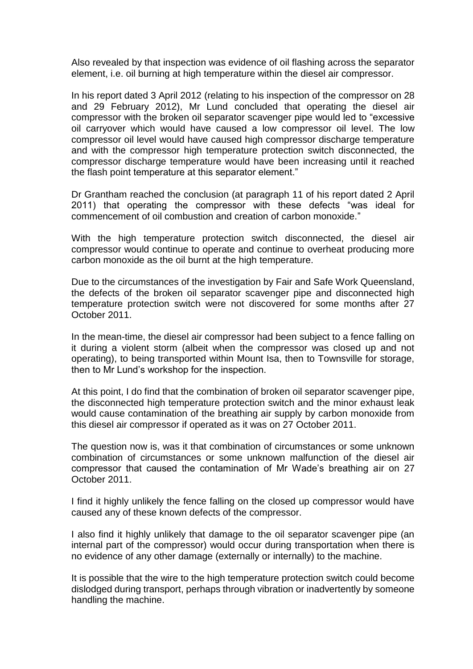Also revealed by that inspection was evidence of oil flashing across the separator element, i.e. oil burning at high temperature within the diesel air compressor.

In his report dated 3 April 2012 (relating to his inspection of the compressor on 28 and 29 February 2012), Mr Lund concluded that operating the diesel air compressor with the broken oil separator scavenger pipe would led to "excessive oil carryover which would have caused a low compressor oil level. The low compressor oil level would have caused high compressor discharge temperature and with the compressor high temperature protection switch disconnected, the compressor discharge temperature would have been increasing until it reached the flash point temperature at this separator element."

Dr Grantham reached the conclusion (at paragraph 11 of his report dated 2 April 2011) that operating the compressor with these defects "was ideal for commencement of oil combustion and creation of carbon monoxide."

With the high temperature protection switch disconnected, the diesel air compressor would continue to operate and continue to overheat producing more carbon monoxide as the oil burnt at the high temperature.

Due to the circumstances of the investigation by Fair and Safe Work Queensland, the defects of the broken oil separator scavenger pipe and disconnected high temperature protection switch were not discovered for some months after 27 October 2011.

In the mean-time, the diesel air compressor had been subject to a fence falling on it during a violent storm (albeit when the compressor was closed up and not operating), to being transported within Mount Isa, then to Townsville for storage, then to Mr Lund's workshop for the inspection.

At this point, I do find that the combination of broken oil separator scavenger pipe, the disconnected high temperature protection switch and the minor exhaust leak would cause contamination of the breathing air supply by carbon monoxide from this diesel air compressor if operated as it was on 27 October 2011.

The question now is, was it that combination of circumstances or some unknown combination of circumstances or some unknown malfunction of the diesel air compressor that caused the contamination of Mr Wade's breathing air on 27 October 2011.

I find it highly unlikely the fence falling on the closed up compressor would have caused any of these known defects of the compressor.

I also find it highly unlikely that damage to the oil separator scavenger pipe (an internal part of the compressor) would occur during transportation when there is no evidence of any other damage (externally or internally) to the machine.

It is possible that the wire to the high temperature protection switch could become dislodged during transport, perhaps through vibration or inadvertently by someone handling the machine.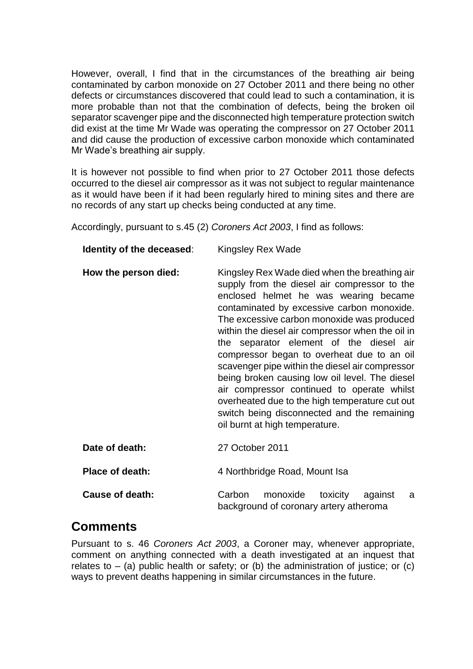However, overall, I find that in the circumstances of the breathing air being contaminated by carbon monoxide on 27 October 2011 and there being no other defects or circumstances discovered that could lead to such a contamination, it is more probable than not that the combination of defects, being the broken oil separator scavenger pipe and the disconnected high temperature protection switch did exist at the time Mr Wade was operating the compressor on 27 October 2011 and did cause the production of excessive carbon monoxide which contaminated Mr Wade's breathing air supply.

It is however not possible to find when prior to 27 October 2011 those defects occurred to the diesel air compressor as it was not subject to regular maintenance as it would have been if it had been regularly hired to mining sites and there are no records of any start up checks being conducted at any time.

Accordingly, pursuant to s.45 (2) *Coroners Act 2003*, I find as follows:

| Identity of the deceased: | Kingsley Rex Wade                                                                                                                                                                                                                                                                                                                                                                                                                                                                                                                                                                                                                                                     |  |  |
|---------------------------|-----------------------------------------------------------------------------------------------------------------------------------------------------------------------------------------------------------------------------------------------------------------------------------------------------------------------------------------------------------------------------------------------------------------------------------------------------------------------------------------------------------------------------------------------------------------------------------------------------------------------------------------------------------------------|--|--|
| How the person died:      | Kingsley Rex Wade died when the breathing air<br>supply from the diesel air compressor to the<br>enclosed helmet he was wearing became<br>contaminated by excessive carbon monoxide.<br>The excessive carbon monoxide was produced<br>within the diesel air compressor when the oil in<br>the separator element of the diesel air<br>compressor began to overheat due to an oil<br>scavenger pipe within the diesel air compressor<br>being broken causing low oil level. The diesel<br>air compressor continued to operate whilst<br>overheated due to the high temperature cut out<br>switch being disconnected and the remaining<br>oil burnt at high temperature. |  |  |
| Date of death:            | 27 October 2011                                                                                                                                                                                                                                                                                                                                                                                                                                                                                                                                                                                                                                                       |  |  |
| <b>Place of death:</b>    | 4 Northbridge Road, Mount Isa                                                                                                                                                                                                                                                                                                                                                                                                                                                                                                                                                                                                                                         |  |  |
| <b>Cause of death:</b>    | Carbon<br>monoxide<br>toxicity<br>against<br>a                                                                                                                                                                                                                                                                                                                                                                                                                                                                                                                                                                                                                        |  |  |

### **Comments**

Pursuant to s. 46 *Coroners Act 2003*, a Coroner may, whenever appropriate, comment on anything connected with a death investigated at an inquest that relates to  $-$  (a) public health or safety; or (b) the administration of justice; or (c) ways to prevent deaths happening in similar circumstances in the future.

background of coronary artery atheroma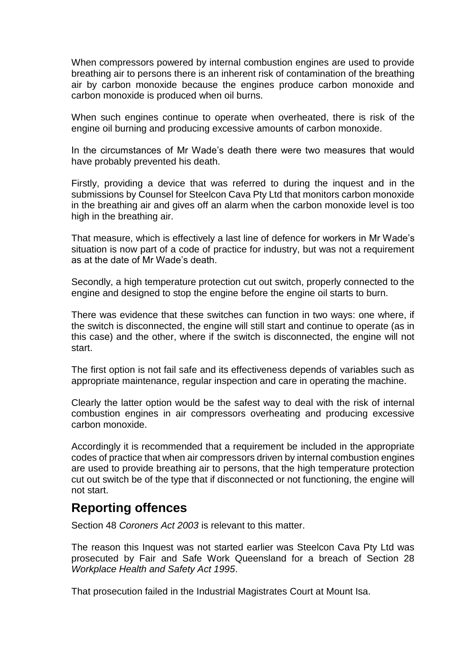When compressors powered by internal combustion engines are used to provide breathing air to persons there is an inherent risk of contamination of the breathing air by carbon monoxide because the engines produce carbon monoxide and carbon monoxide is produced when oil burns.

When such engines continue to operate when overheated, there is risk of the engine oil burning and producing excessive amounts of carbon monoxide.

In the circumstances of Mr Wade's death there were two measures that would have probably prevented his death.

Firstly, providing a device that was referred to during the inquest and in the submissions by Counsel for Steelcon Cava Pty Ltd that monitors carbon monoxide in the breathing air and gives off an alarm when the carbon monoxide level is too high in the breathing air.

That measure, which is effectively a last line of defence for workers in Mr Wade's situation is now part of a code of practice for industry, but was not a requirement as at the date of Mr Wade's death.

Secondly, a high temperature protection cut out switch, properly connected to the engine and designed to stop the engine before the engine oil starts to burn.

There was evidence that these switches can function in two ways: one where, if the switch is disconnected, the engine will still start and continue to operate (as in this case) and the other, where if the switch is disconnected, the engine will not start.

The first option is not fail safe and its effectiveness depends of variables such as appropriate maintenance, regular inspection and care in operating the machine.

Clearly the latter option would be the safest way to deal with the risk of internal combustion engines in air compressors overheating and producing excessive carbon monoxide.

Accordingly it is recommended that a requirement be included in the appropriate codes of practice that when air compressors driven by internal combustion engines are used to provide breathing air to persons, that the high temperature protection cut out switch be of the type that if disconnected or not functioning, the engine will not start.

#### **Reporting offences**

Section 48 *Coroners Act 2003* is relevant to this matter.

The reason this Inquest was not started earlier was Steelcon Cava Pty Ltd was prosecuted by Fair and Safe Work Queensland for a breach of Section 28 *Workplace Health and Safety Act 1995*.

That prosecution failed in the Industrial Magistrates Court at Mount Isa.